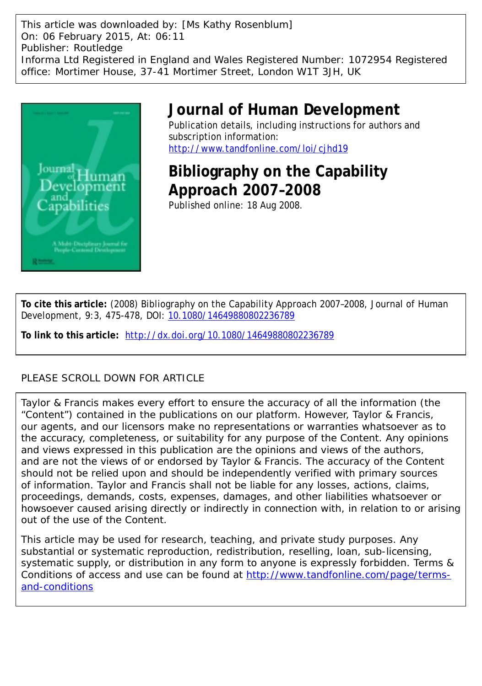This article was downloaded by: [Ms Kathy Rosenblum] On: 06 February 2015, At: 06:11 Publisher: Routledge Informa Ltd Registered in England and Wales Registered Number: 1072954 Registered office: Mortimer House, 37-41 Mortimer Street, London W1T 3JH, UK



### **Journal of Human Development**

Publication details, including instructions for authors and subscription information: <http://www.tandfonline.com/loi/cjhd19>

# **Bibliography on the Capability Approach 2007–2008**

Published online: 18 Aug 2008.

**To cite this article:** (2008) Bibliography on the Capability Approach 2007–2008, Journal of Human Development, 9:3, 475-478, DOI: [10.1080/14649880802236789](http://www.tandfonline.com/action/showCitFormats?doi=10.1080/14649880802236789)

**To link to this article:** <http://dx.doi.org/10.1080/14649880802236789>

### PLEASE SCROLL DOWN FOR ARTICLE

Taylor & Francis makes every effort to ensure the accuracy of all the information (the "Content") contained in the publications on our platform. However, Taylor & Francis, our agents, and our licensors make no representations or warranties whatsoever as to the accuracy, completeness, or suitability for any purpose of the Content. Any opinions and views expressed in this publication are the opinions and views of the authors, and are not the views of or endorsed by Taylor & Francis. The accuracy of the Content should not be relied upon and should be independently verified with primary sources of information. Taylor and Francis shall not be liable for any losses, actions, claims, proceedings, demands, costs, expenses, damages, and other liabilities whatsoever or howsoever caused arising directly or indirectly in connection with, in relation to or arising out of the use of the Content.

This article may be used for research, teaching, and private study purposes. Any substantial or systematic reproduction, redistribution, reselling, loan, sub-licensing, systematic supply, or distribution in any form to anyone is expressly forbidden. Terms & Conditions of access and use can be found at [http://www.tandfonline.com/page/terms](http://www.tandfonline.com/page/terms-and-conditions)[and-conditions](http://www.tandfonline.com/page/terms-and-conditions)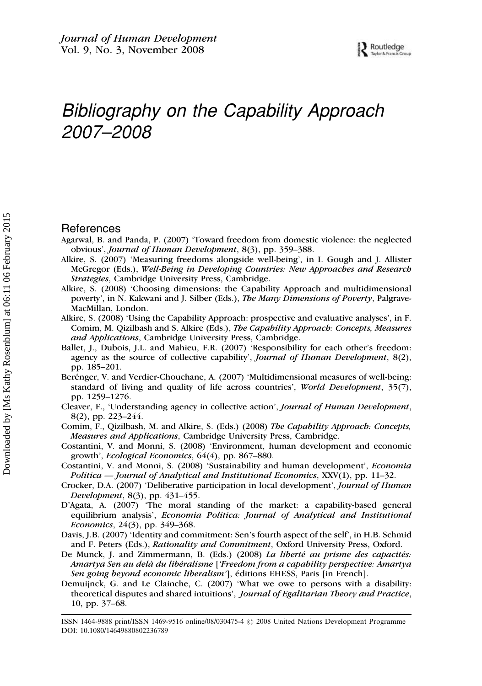## Bibliography on the Capability Approach 2007–2008

#### References

- Agarwal, B. and Panda, P. (2007) 'Toward freedom from domestic violence: the neglected obvious', Journal of Human Development, 8(3), pp. 359–388.
- Alkire, S. (2007) 'Measuring freedoms alongside well-being', in I. Gough and J. Allister McGregor (Eds.), Well-Being in Developing Countries: New Approaches and Research Strategies, Cambridge University Press, Cambridge.
- Alkire, S. (2008) 'Choosing dimensions: the Capability Approach and multidimensional poverty', in N. Kakwani and J. Silber (Eds.), The Many Dimensions of Poverty, Palgrave-MacMillan, London.
- Alkire, S. (2008) 'Using the Capability Approach: prospective and evaluative analyses', in F. Comim, M. Qizilbash and S. Alkire (Eds.), The Capability Approach: Concepts, Measures and Applications, Cambridge University Press, Cambridge.
- Ballet, J., Dubois, J.L. and Mahieu, F.R. (2007) 'Responsibility for each other's freedom: agency as the source of collective capability', Journal of Human Development, 8(2), pp. 185–201.
- Berénger, V. and Verdier-Chouchane, A. (2007) 'Multidimensional measures of well-being: standard of living and quality of life across countries', World Development, 35(7), pp. 1259–1276.
- Cleaver, F., 'Understanding agency in collective action', Journal of Human Development, 8(2), pp. 223–244.
- Comim, F., Qizilbash, M. and Alkire, S. (Eds.) (2008) The Capability Approach: Concepts, Measures and Applications, Cambridge University Press, Cambridge.
- Costantini, V. and Monni, S. (2008) 'Environment, human development and economic growth', Ecological Economics, 64(4), pp. 867–880.
- Costantini, V. and Monni, S. (2008) 'Sustainability and human development', Economia Politica — Journal of Analytical and Institutional Economics, XXV(1), pp. 11–32.
- Crocker, D.A. (2007) 'Deliberative participation in local development', Journal of Human Development, 8(3), pp. 431–455.
- D'Agata, A. (2007) 'The moral standing of the market: a capability-based general equilibrium analysis', Economia Politica: Journal of Analytical and Institutional Economics, 24(3), pp. 349–368.
- Davis, J.B. (2007) 'Identity and commitment: Sen's fourth aspect of the self', in H.B. Schmid and F. Peters (Eds.), Rationality and Commitment, Oxford University Press, Oxford.
- De Munck, J. and Zimmermann, B. (Eds.) (2008) La liberté au prisme des capacités: Amartya Sen au delà du libéralisme ['Freedom from a capability perspective: Amartya Sen going beyond economic liberalism'], éditions EHESS, Paris [in French].
- Demuijnck, G. and Le Clainche, C. (2007) 'What we owe to persons with a disability: theoretical disputes and shared intuitions', Journal of Egalitarian Theory and Practice, 10, pp. 37–68.

ISSN 1464-9888 print/ISSN 1469-9516 online/08/030475-4  $\odot$  2008 United Nations Development Programme DOI: 10.1080/14649880802236789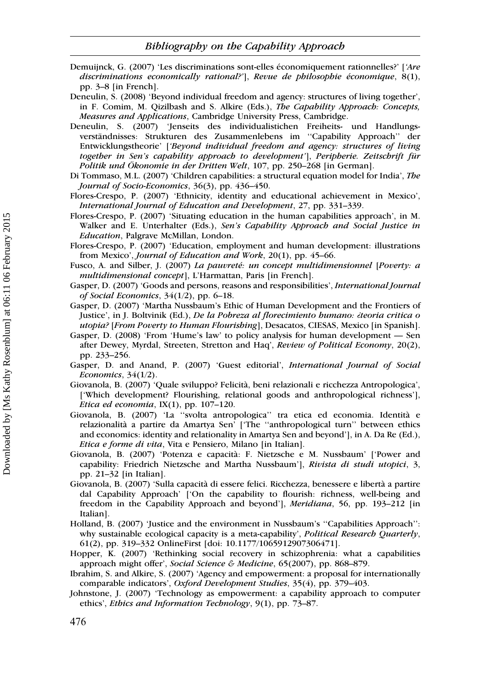Bibliography on the Capability Approach

- Demuijnck, G. (2007) 'Les discriminations sont-elles économiquement rationnelles?' ['Are discriminations economically rational?'], Revue de philosophie économique, 8(1), pp. 3–8 [in French].
- Deneulin, S. (2008) 'Beyond individual freedom and agency: structures of living together', in F. Comim, M. Qizilbash and S. Alkire (Eds.), The Capability Approach: Concepts, Measures and Applications, Cambridge University Press, Cambridge.
- Deneulin, S. (2007) 'Jenseits des individualistichen Freiheits- und Handlungsverständnisses: Strukturen des Zusammenlebens im "Capability Approach" der Entwicklungstheorie' ['Beyond individual freedom and agency: structures of living together in Sen's capability approach to development'], Peripherie. Zeitschrift für Politik und Ökonomie in der Dritten Welt, 107, pp. 250–268 [in German].
- Di Tommaso, M.L. (2007) 'Children capabilities: a structural equation model for India', The Journal of Socio-Economics, 36(3), pp. 436–450.
- Flores-Crespo, P. (2007) 'Ethnicity, identity and educational achievement in Mexico', International Journal of Education and Development, 27, pp. 331–339.
- Flores-Crespo, P. (2007) 'Situating education in the human capabilities approach', in M. Walker and E. Unterhalter (Eds.), Sen's Capability Approach and Social Justice in Education, Palgrave McMillan, London.
- Flores-Crespo, P. (2007) 'Education, employment and human development: illustrations from Mexico', Journal of Education and Work, 20(1), pp. 45–66.
- Fusco, A. and Silber, J. (2007) La pauvreté: un concept multidimensionnel [Poverty: a multidimensional concept], L'Harmattan, Paris [in French].
- Gasper, D. (2007) 'Goods and persons, reasons and responsibilities', International Journal of Social Economics, 34(1/2), pp. 6–18.
- Gasper, D. (2007) 'Martha Nussbaum's Ethic of Human Development and the Frontiers of Justice', in J. Boltvinik (Ed.), De la Pobreza al florecimiento humano: ¿teoria critica o utopia? [From Poverty to Human Flourishing], Desacatos, CIESAS, Mexico [in Spanish].
- Gasper, D. (2008) 'From 'Hume's law' to policy analysis for human development Sen after Dewey, Myrdal, Streeten, Stretton and Haq', Review of Political Economy, 20(2), pp. 233–256.
- Gasper, D. and Anand, P. (2007) 'Guest editorial', International Journal of Social Economics, 34(1/2).
- Giovanola, B. (2007) 'Quale sviluppo? Felicita`, beni relazionali e ricchezza Antropologica', ['Which development? Flourishing, relational goods and anthropological richness'], Etica ed economia,  $IX(1)$ , pp. 107-120.
- Giovanola, B. (2007) 'La ''svolta antropologica'' tra etica ed economia. Identita` e relazionalita` a partire da Amartya Sen' ['The ''anthropological turn'' between ethics and economics: identity and relationality in Amartya Sen and beyond'], in A. Da Re (Ed.), Etica e forme di vita, Vita e Pensiero, Milano [in Italian].
- Giovanola, B. (2007) 'Potenza e capacita`: F. Nietzsche e M. Nussbaum' ['Power and capability: Friedrich Nietzsche and Martha Nussbaum'], Rivista di studi utopici, 3, pp. 21–32 [in Italian].
- Giovanola, B. (2007) 'Sulla capacita` di essere felici. Ricchezza, benessere e liberta` a partire dal Capability Approach' ['On the capability to flourish: richness, well-being and freedom in the Capability Approach and beyond'], Meridiana, 56, pp. 193–212 [in Italian].
- Holland, B. (2007) 'Justice and the environment in Nussbaum's ''Capabilities Approach'': why sustainable ecological capacity is a meta-capability', *Political Research Quarterly*, 61(2), pp. 319–332 OnlineFirst [doi: 10.1177/1065912907306471].
- Hopper, K. (2007) 'Rethinking social recovery in schizophrenia: what a capabilities approach might offer', Social Science & Medicine, 65(2007), pp. 868-879.
- Ibrahim, S. and Alkire, S. (2007) 'Agency and empowerment: a proposal for internationally comparable indicators', Oxford Development Studies, 35(4), pp. 379–403.
- Johnstone, J. (2007) 'Technology as empowerment: a capability approach to computer ethics', Ethics and Information Technology, 9(1), pp. 73–87.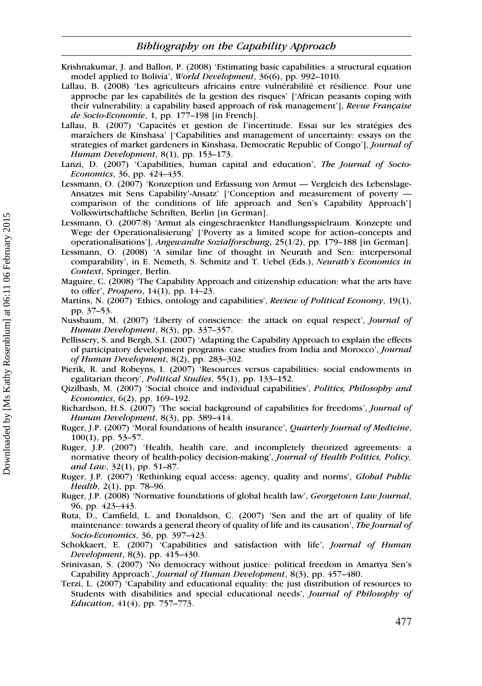- Krishnakumar, J. and Ballon, P. (2008) 'Estimating basic capabilities: a structural equation model applied to Bolivia', World Development, 36(6), pp. 992–1010.
- Lallau, B. (2008) 'Les agriculteurs africains entre vulnérabilité et résilience. Pour une approche par les capabilités de la gestion des risques' ['African peasants coping with their vulnerability: a capability based approach of risk management'], Revue Française de Socio-Economie, 1, pp. 177–198 [in French].
- Lallau, B. (2007) 'Capacités et gestion de l'incertitude. Essai sur les stratégies des maraîchers de Kinshasa' ['Capabilities and management of uncertainty: essays on the strategies of market gardeners in Kinshasa, Democratic Republic of Congo'], Journal of Human Development, 8(1), pp. 153–173.
- Lanzi, D. (2007) 'Capabilities, human capital and education', The Journal of Socio-Economics, 36, pp. 424–435.
- Lessmann, O. (2007) 'Konzeption und Erfassung von Armut Vergleich des Lebenslage-Ansatzes mit Sens Capability'-Ansatz' ['Conception and measurement of poverty comparison of the conditions of life approach and Sen's Capability Approach'] Volkswirtschaftliche Schriften, Berlin [in German].
- Lessmann, O. (2007/8) 'Armut als eingeschraenkter Handlungsspielraum. Konzepte und Wege der Operationalisierung' ['Poverty as a limited scope for action–concepts and operationalisations'], Angewandte Sozialforschung, 25(1/2), pp. 179–188 [in German].
- Lessmann, O. (2008) 'A similar line of thought in Neurath and Sen: interpersonal comparability', in E. Nemeth, S. Schmitz and T. Uebel (Eds.), Neurath's Economics in Context, Springer, Berlin.
- Maguire, C. (2008) 'The Capability Approach and citizenship education: what the arts have to offer', Prospero, 14(1), pp. 14–23.
- Martins, N. (2007) 'Ethics, ontology and capabilities', Review of Political Economy, 19(1), pp. 37–53.
- Nussbaum, M. (2007) 'Liberty of conscience: the attack on equal respect', Journal of Human Development, 8(3), pp. 337–357.
- Pellissery, S. and Bergh, S.I. (2007) 'Adapting the Capability Approach to explain the effects of participatory development programs: case studies from India and Morocco', Journal of Human Development, 8(2), pp. 283–302.
- Pierik, R. and Robeyns, I. (2007) 'Resources versus capabilities: social endowments in egalitarian theory', Political Studies, 55(1), pp. 133–152.
- Qizilbash, M. (2007) 'Social choice and individual capabilities', Politics, Philosophy and Economics, 6(2), pp. 169–192.
- Richardson, H.S. (2007) 'The social background of capabilities for freedoms', Journal of Human Development, 8(3), pp. 389–414.
- Ruger, J.P. (2007) 'Moral foundations of health insurance', Quarterly Journal of Medicine, 100(1), pp. 53–57.
- Ruger, J.P. (2007) 'Health, health care, and incompletely theorized agreements: a normative theory of health-policy decision-making', Journal of Health Politics, Policy, and Law, 32(1), pp. 51–87.
- Ruger, J.P. (2007) 'Rethinking equal access: agency, quality and norms', Global Public Health, 2(1), pp. 78–96.
- Ruger, J.P. (2008) 'Normative foundations of global health law', Georgetown Law Journal, 96, pp. 423–443.
- Ruta, D., Camfield, L. and Donaldson, C. (2007) 'Sen and the art of quality of life maintenance: towards a general theory of quality of life and its causation', The Journal of Socio-Economics, 36, pp. 397–423.
- Schokkaert, E. (2007) 'Capabilities and satisfaction with life', Journal of Human Development, 8(3), pp. 415–430.
- Srinivasan, S. (2007) 'No democracy without justice: political freedom in Amartya Sen's Capability Approach', Journal of Human Development, 8(3), pp. 457–480.
- Terzi, L. (2007) 'Capability and educational equality: the just distribution of resources to Students with disabilities and special educational needs', Journal of Philosophy of Education, 41(4), pp. 757–773.